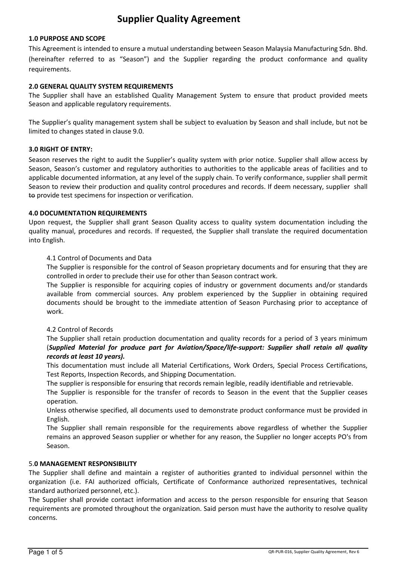# Supplier Quality Agreement

#### 1.0 PURPOSE AND SCOPE

This Agreement is intended to ensure a mutual understanding between Season Malaysia Manufacturing Sdn. Bhd. (hereinafter referred to as "Season") and the Supplier regarding the product conformance and quality requirements.

#### 2.0 GENERAL QUALITY SYSTEM REQUIREMENTS

The Supplier shall have an established Quality Management System to ensure that product provided meets Season and applicable regulatory requirements.

The Supplier's quality management system shall be subject to evaluation by Season and shall include, but not be limited to changes stated in clause 9.0.

#### 3.0 RIGHT OF ENTRY:

Season reserves the right to audit the Supplier's quality system with prior notice. Supplier shall allow access by Season, Season's customer and regulatory authorities to authorities to the applicable areas of facilities and to applicable documented information, at any level of the supply chain. To verify conformance, supplier shall permit Season to review their production and quality control procedures and records. If deem necessary, supplier shall to provide test specimens for inspection or verification.

#### 4.0 DOCUMENTATION REQUIREMENTS

Upon request, the Supplier shall grant Season Quality access to quality system documentation including the quality manual, procedures and records. If requested, the Supplier shall translate the required documentation into English.

#### 4.1 Control of Documents and Data

The Supplier is responsible for the control of Season proprietary documents and for ensuring that they are controlled in order to preclude their use for other than Season contract work.

The Supplier is responsible for acquiring copies of industry or government documents and/or standards available from commercial sources. Any problem experienced by the Supplier in obtaining required documents should be brought to the immediate attention of Season Purchasing prior to acceptance of work.

#### 4.2 Control of Records

The Supplier shall retain production documentation and quality records for a period of 3 years minimum (Supplied Material for produce part for Aviation/Space/life-support: Supplier shall retain all quality records at least 10 years).

This documentation must include all Material Certifications, Work Orders, Special Process Certifications, Test Reports, Inspection Records, and Shipping Documentation.

The supplier is responsible for ensuring that records remain legible, readily identifiable and retrievable.

The Supplier is responsible for the transfer of records to Season in the event that the Supplier ceases operation.

Unless otherwise specified, all documents used to demonstrate product conformance must be provided in English.

The Supplier shall remain responsible for the requirements above regardless of whether the Supplier remains an approved Season supplier or whether for any reason, the Supplier no longer accepts PO's from Season.

#### 5.0 MANAGEMENT RESPONSIBILITY

The Supplier shall define and maintain a register of authorities granted to individual personnel within the organization (i.e. FAI authorized officials, Certificate of Conformance authorized representatives, technical standard authorized personnel, etc.).

The Supplier shall provide contact information and access to the person responsible for ensuring that Season requirements are promoted throughout the organization. Said person must have the authority to resolve quality concerns.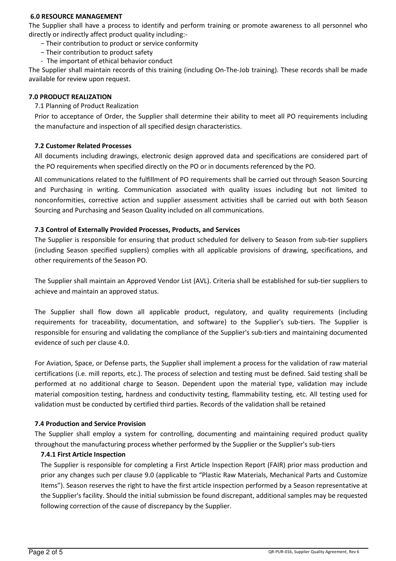#### 6.0 RESOURCE MANAGEMENT

The Supplier shall have a process to identify and perform training or promote awareness to all personnel who directly or indirectly affect product quality including:-

- − Their contribution to product or service conformity
- − Their contribution to product safety
- The important of ethical behavior conduct

The Supplier shall maintain records of this training (including On-The-Job training). These records shall be made available for review upon request.

#### 7.0 PRODUCT REALIZATION

7.1 Planning of Product Realization

Prior to acceptance of Order, the Supplier shall determine their ability to meet all PO requirements including the manufacture and inspection of all specified design characteristics.

#### 7.2 Customer Related Processes

All documents including drawings, electronic design approved data and specifications are considered part of the PO requirements when specified directly on the PO or in documents referenced by the PO.

All communications related to the fulfillment of PO requirements shall be carried out through Season Sourcing and Purchasing in writing. Communication associated with quality issues including but not limited to nonconformities, corrective action and supplier assessment activities shall be carried out with both Season Sourcing and Purchasing and Season Quality included on all communications.

#### 7.3 Control of Externally Provided Processes, Products, and Services

The Supplier is responsible for ensuring that product scheduled for delivery to Season from sub-tier suppliers (including Season specified suppliers) complies with all applicable provisions of drawing, specifications, and other requirements of the Season PO.

The Supplier shall maintain an Approved Vendor List (AVL). Criteria shall be established for sub-tier suppliers to achieve and maintain an approved status.

The Supplier shall flow down all applicable product, regulatory, and quality requirements (including requirements for traceability, documentation, and software) to the Supplier's sub-tiers. The Supplier is responsible for ensuring and validating the compliance of the Supplier's sub-tiers and maintaining documented evidence of such per clause 4.0.

For Aviation, Space, or Defense parts, the Supplier shall implement a process for the validation of raw material certifications (i.e. mill reports, etc.). The process of selection and testing must be defined. Said testing shall be performed at no additional charge to Season. Dependent upon the material type, validation may include material composition testing, hardness and conductivity testing, flammability testing, etc. All testing used for validation must be conducted by certified third parties. Records of the validation shall be retained

#### 7.4 Production and Service Provision

The Supplier shall employ a system for controlling, documenting and maintaining required product quality throughout the manufacturing process whether performed by the Supplier or the Supplier's sub-tiers

# 7.4.1 First Article Inspection

The Supplier is responsible for completing a First Article Inspection Report (FAIR) prior mass production and prior any changes such per clause 9.0 (applicable to "Plastic Raw Materials, Mechanical Parts and Customize Items"). Season reserves the right to have the first article inspection performed by a Season representative at the Supplier's facility. Should the initial submission be found discrepant, additional samples may be requested following correction of the cause of discrepancy by the Supplier.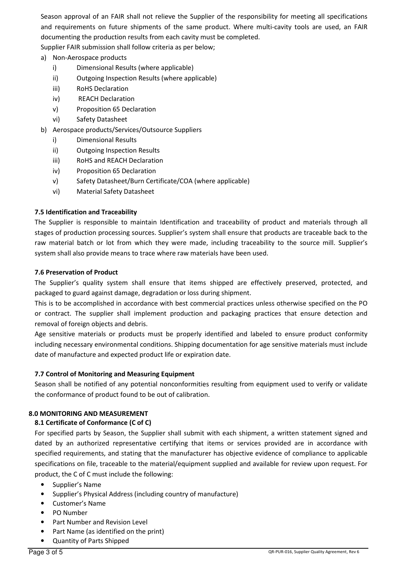Season approval of an FAIR shall not relieve the Supplier of the responsibility for meeting all specifications and requirements on future shipments of the same product. Where multi-cavity tools are used, an FAIR documenting the production results from each cavity must be completed.

Supplier FAIR submission shall follow criteria as per below;

- a) Non-Aerospace products
	- i) Dimensional Results (where applicable)
	- ii) Outgoing Inspection Results (where applicable)
	- iii) RoHS Declaration
	- iv) REACH Declaration
	- v) Proposition 65 Declaration
	- vi) Safety Datasheet
- b) Aerospace products/Services/Outsource Suppliers
	- i) Dimensional Results
	- ii) Outgoing Inspection Results
	- iii) RoHS and REACH Declaration
	- iv) Proposition 65 Declaration
	- v) Safety Datasheet/Burn Certificate/COA (where applicable)
	- vi) Material Safety Datasheet

# 7.5 Identification and Traceability

The Supplier is responsible to maintain Identification and traceability of product and materials through all stages of production processing sources. Supplier's system shall ensure that products are traceable back to the raw material batch or lot from which they were made, including traceability to the source mill. Supplier's system shall also provide means to trace where raw materials have been used.

#### 7.6 Preservation of Product

The Supplier's quality system shall ensure that items shipped are effectively preserved, protected, and packaged to guard against damage, degradation or loss during shipment.

This is to be accomplished in accordance with best commercial practices unless otherwise specified on the PO or contract. The supplier shall implement production and packaging practices that ensure detection and removal of foreign objects and debris.

Age sensitive materials or products must be properly identified and labeled to ensure product conformity including necessary environmental conditions. Shipping documentation for age sensitive materials must include date of manufacture and expected product life or expiration date.

# 7.7 Control of Monitoring and Measuring Equipment

Season shall be notified of any potential nonconformities resulting from equipment used to verify or validate the conformance of product found to be out of calibration.

# 8.0 MONITORING AND MEASUREMENT

# 8.1 Certificate of Conformance (C of C)

For specified parts by Season, the Supplier shall submit with each shipment, a written statement signed and dated by an authorized representative certifying that items or services provided are in accordance with specified requirements, and stating that the manufacturer has objective evidence of compliance to applicable specifications on file, traceable to the material/equipment supplied and available for review upon request. For product, the C of C must include the following:

- Supplier's Name
- Supplier's Physical Address (including country of manufacture)
- Customer's Name
- PO Number
- Part Number and Revision Level
- Part Name (as identified on the print)
- Quantity of Parts Shipped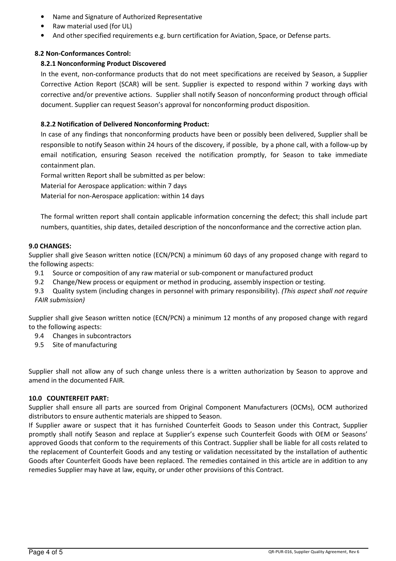- Name and Signature of Authorized Representative
- Raw material used (for UL)
- And other specified requirements e.g. burn certification for Aviation, Space, or Defense parts.

# 8.2 Non-Conformances Control:

# 8.2.1 Nonconforming Product Discovered

In the event, non-conformance products that do not meet specifications are received by Season, a Supplier Corrective Action Report (SCAR) will be sent. Supplier is expected to respond within 7 working days with corrective and/or preventive actions. Supplier shall notify Season of nonconforming product through official document. Supplier can request Season's approval for nonconforming product disposition.

# 8.2.2 Notification of Delivered Nonconforming Product:

In case of any findings that nonconforming products have been or possibly been delivered, Supplier shall be responsible to notify Season within 24 hours of the discovery, if possible, by a phone call, with a follow-up by email notification, ensuring Season received the notification promptly, for Season to take immediate containment plan.

Formal written Report shall be submitted as per below:

Material for Aerospace application: within 7 days

Material for non-Aerospace application: within 14 days

The formal written report shall contain applicable information concerning the defect; this shall include part numbers, quantities, ship dates, detailed description of the nonconformance and the corrective action plan.

# 9.0 CHANGES:

Supplier shall give Season written notice (ECN/PCN) a minimum 60 days of any proposed change with regard to the following aspects:

- 9.1 Source or composition of any raw material or sub-component or manufactured product
- 9.2 Change/New process or equipment or method in producing, assembly inspection or testing.
- 9.3 Quality system (including changes in personnel with primary responsibility). (This aspect shall not require FAIR submission)

Supplier shall give Season written notice (ECN/PCN) a minimum 12 months of any proposed change with regard to the following aspects:

- 9.4 Changes in subcontractors
- 9.5 Site of manufacturing

Supplier shall not allow any of such change unless there is a written authorization by Season to approve and amend in the documented FAIR.

# 10.0 COUNTERFEIT PART:

Supplier shall ensure all parts are sourced from Original Component Manufacturers (OCMs), OCM authorized distributors to ensure authentic materials are shipped to Season.

If Supplier aware or suspect that it has furnished Counterfeit Goods to Season under this Contract, Supplier promptly shall notify Season and replace at Supplier's expense such Counterfeit Goods with OEM or Seasons' approved Goods that conform to the requirements of this Contract. Supplier shall be liable for all costs related to the replacement of Counterfeit Goods and any testing or validation necessitated by the installation of authentic Goods after Counterfeit Goods have been replaced. The remedies contained in this article are in addition to any remedies Supplier may have at law, equity, or under other provisions of this Contract.